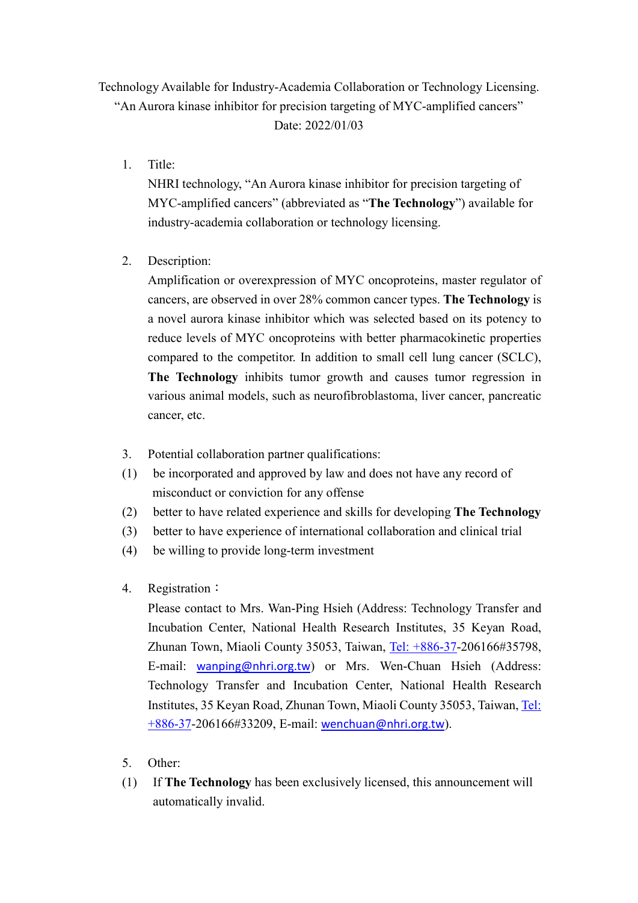## Technology Available for Industry-Academia Collaboration or Technology Licensing. "An Aurora kinase inhibitor for precision targeting of MYC-amplified cancers" Date: 2022/01/03

1. Title:

NHRI technology, "An Aurora kinase inhibitor for precision targeting of MYC-amplified cancers" (abbreviated as "**The Technology**") available for industry-academia collaboration or technology licensing.

2. Description:

Amplification or overexpression of MYC oncoproteins, master regulator of cancers, are observed in over 28% common cancer types. **The Technology** is a novel aurora kinase inhibitor which was selected based on its potency to reduce levels of MYC oncoproteins with better pharmacokinetic properties compared to the competitor. In addition to small cell lung cancer (SCLC), **The Technology** inhibits tumor growth and causes tumor regression in various animal models, such as neurofibroblastoma, liver cancer, pancreatic cancer, etc.

- 3. Potential collaboration partner qualifications:
- (1) be incorporated and approved by law and does not have any record of misconduct or conviction for any offense
- (2) better to have related experience and skills for developing **The Technology**
- (3) better to have experience of international collaboration and clinical trial
- (4) be willing to provide long-term investment
- 4. Registration:

Please contact to Mrs. Wan-Ping Hsieh (Address: Technology Transfer and Incubation Center, National Health Research Institutes, 35 Keyan Road, Zhunan Town, Miaoli County 35053, Taiwan, [Tel: +886-37-](mailto:Tel:%20+886-37)206166#35798, E-mail: [wanping@nhri.org.tw](mailto:wanping@nhri.org.tw)) or Mrs. Wen-Chuan Hsieh (Address: Technology Transfer and Incubation Center, National Health Research Institutes, 35 Keyan Road, Zhunan Town, Miaoli County 35053, Taiwan, [Tel:](mailto:Tel:%20+886-37)  [+886-37-](mailto:Tel:%20+886-37)206166#33209, E-mail: [wenchuan@nhri.org.tw](mailto:wenchuan@nhri.org.tw)).

- 5. Other:
- (1) If **The Technology** has been exclusively licensed, this announcement will automatically invalid.